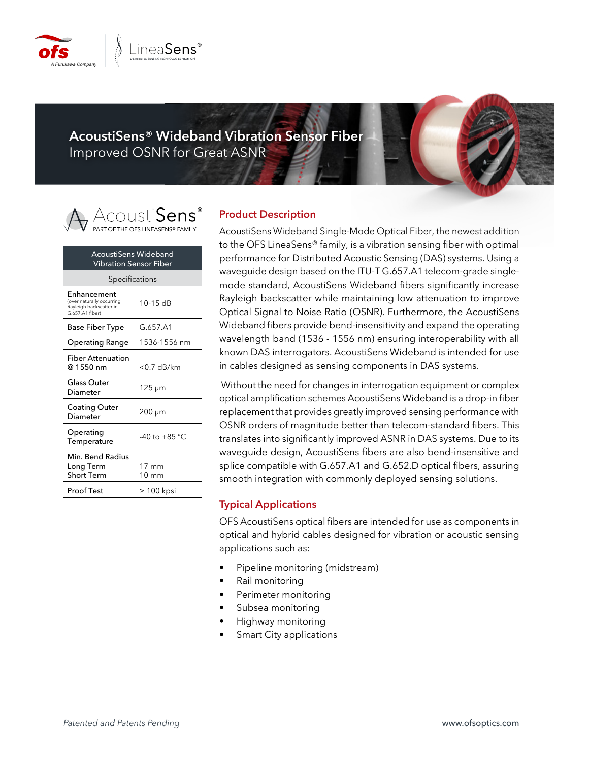

**AcoustiSens® Wideband Vibration Sensor Fiber** Improved OSNR for Great ASNR

# .cousti**Sens**'

| AcoustiSens Wideband<br>Vibration Sensor Fiber                                         |                          |  |  |
|----------------------------------------------------------------------------------------|--------------------------|--|--|
| Specifications                                                                         |                          |  |  |
| Enhancement<br>(over naturally occurring<br>Rayleigh backscatter in<br>G.657.A1 fiber) | $10-15$ dB               |  |  |
| <b>Base Fiber Type</b>                                                                 | G.657.A1                 |  |  |
| Operating Range                                                                        | 1536-1556 nm             |  |  |
| Fiber Attenuation<br>@ 1550 nm                                                         | $<$ 0.7 dB/km            |  |  |
| Glass Outer<br>Diameter                                                                | 125 µm                   |  |  |
| Coating Outer<br>Diameter                                                              | 200 µm                   |  |  |
| Operating<br>Temperature                                                               | -40 to +85 °C            |  |  |
| Min. Bend Radius<br>Long Term<br>Short Term                                            | 17 mm<br>$10 \text{ mm}$ |  |  |
| Proof Test                                                                             | $\geq 100$ kpsi          |  |  |

#### **Product Description**

AcoustiSens Wideband Single-Mode Optical Fiber, the newest addition to the OFS LineaSens® family, is a vibration sensing fiber with optimal performance for Distributed Acoustic Sensing (DAS) systems. Using a waveguide design based on the ITU-T G.657.A1 telecom-grade singlemode standard, AcoustiSens Wideband fibers significantly increase Rayleigh backscatter while maintaining low attenuation to improve Optical Signal to Noise Ratio (OSNR). Furthermore, the AcoustiSens Wideband fibers provide bend-insensitivity and expand the operating wavelength band (1536 - 1556 nm) ensuring interoperability with all known DAS interrogators. AcoustiSens Wideband is intended for use in cables designed as sensing components in DAS systems.

 Without the need for changes in interrogation equipment or complex optical amplification schemes AcoustiSens Wideband is a drop-in fiber replacement that provides greatly improved sensing performance with OSNR orders of magnitude better than telecom-standard fibers. This translates into significantly improved ASNR in DAS systems. Due to its waveguide design, AcoustiSens fibers are also bend-insensitive and splice compatible with G.657.A1 and G.652.D optical fibers, assuring smooth integration with commonly deployed sensing solutions.

### **Typical Applications**

OFS AcoustiSens optical fibers are intended for use as components in optical and hybrid cables designed for vibration or acoustic sensing applications such as:

- Pipeline monitoring (midstream)
- Rail monitoring
- Perimeter monitoring
- Subsea monitoring
- Highway monitoring
- Smart City applications